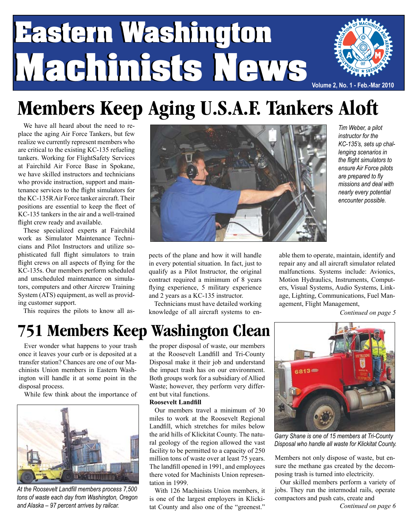## **Eastern Washington Eastern Washington Machinists News Machinists News Volume 2, No. 1 - Feb.-Mar 2010**



We have all heard about the need to replace the aging Air Force Tankers, but few realize we currently represent members who are critical to the existing KC-135 refueling tankers. Working for FlightSafety Services at Fairchild Air Force Base in Spokane, we have skilled instructors and technicians who provide instruction, support and maintenance services to the flight simulators for the KC-135R Air Force tanker aircraft. Their positions are essential to keep the fleet of KC-135 tankers in the air and a well-trained flight crew ready and available.

These specialized experts at Fairchild work as Simulator Maintenance Technicians and Pilot Instructors and utilize sophisticated full flight simulators to train flight crews on all aspects of flying for the KC-135s. Our members perform scheduled and unscheduled maintenance on simulators, computers and other Aircrew Training System (ATS) equipment, as well as providing customer support.

This requires the pilots to know all as-



*Tim Weber, a pilot instructor for the KC-135's, sets up challenging scenarios in the flight simulators to ensure Air Force pilots are prepared to fly missions and deal with nearly every potential encounter possible.*

pects of the plane and how it will handle in every potential situation. In fact, just to qualify as a Pilot Instructor, the original contract required a minimum of 8 years flying experience, 5 military experience and 2 years as a KC-135 instructor.

Technicians must have detailed working knowledge of all aircraft systems to enable them to operate, maintain, identify and repair any and all aircraft simulator related malfunctions. Systems include: Avionics, Motion Hydraulics, Instruments, Computers, Visual Systems, Audio Systems, Linkage, Lighting, Communications, Fuel Management, Flight Management,

*Continued on page 5*

### **751 Members Keep Washington Clean**

Ever wonder what happens to your trash once it leaves your curb or is deposited at a transfer station? Chances are one of our Machinists Union members in Eastern Washington will handle it at some point in the disposal process.

While few think about the importance of



*At the Roosevelt Landfill members process 7,500 tons of waste each day from Washington, Oregon and Alaska – 97 percent arrives by railcar.*

the proper disposal of waste, our members at the Roosevelt Landfill and Tri-County Disposal make it their job and understand the impact trash has on our environment. Both groups work for a subsidiary of Allied Waste; however, they perform very different but vital functions.

#### **Roosevelt Landfill**

Our members travel a minimum of 30 miles to work at the Roosevelt Regional Landfill, which stretches for miles below the arid hills of Klickitat County. The natural geology of the region allowed the vast facility to be permitted to a capacity of 250 million tons of waste over at least 75 years. The landfill opened in 1991, and employees there voted for Machinists Union representation in 1999.

With 126 Machinists Union members, it is one of the largest employers in Klickitat County and also one of the "greenest."



*Garry Shane is one of 15 members at Tri-County Disposal who handle all waste for Klickitat County.*

Members not only dispose of waste, but ensure the methane gas created by the decomposing trash is turned into electricity.

Our skilled members perform a variety of jobs. They run the intermodal rails, operate compactors and push cats, create and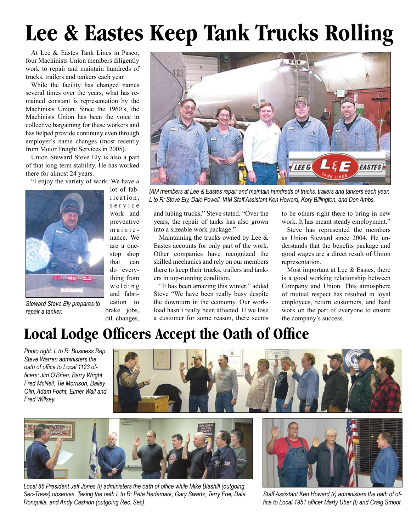# **Lee & Eastes Keep Tank Trucks Rolling**

At Lee & Eastes Tank Lines in Pasco, four Machinists Union members diligently work to repair and maintain hundreds of trucks, trailers and tankers each year.

While the facility has changed names several times over the years, what has remained constant is representation by the Machinists Union. Since the 1960's, the Machinists Union has been the voice in collective bargaining for these workers and has helped provide continuity even through employer's name changes (most recently from Motor Freight Services in 2005).

Union Steward Steve Ely is also a part of that long-term stability. He has worked there for almost 24 years.

"I enjoy the variety of work. We have a



lot of fabrication. s e r v i c e work and preventive maintenance. We are a onestop shop that can do everything from we l d i n g and fabri-

*Steward Steve Ely prepares to repair a tanker.*

cation to

brake jobs, oil changes,



*IAM members at Lee & Eastes repair and maintain hundreds of trucks, trailers and tankers each year. L to R: Steve Ely, Dale Powell, IAM Staff Assistant Ken Howard, Kory Billington, and Don Ambs.*

and lubing trucks," Steve stated. "Over the years, the repair of tanks has also grown into a sizeable work package."

Maintaining the trucks owned by Lee  $\&$ Eastes accounts for only part of the work. Other companies have recognized the skilled mechanics and rely on our members there to keep their trucks, trailers and tankers in top-running condition.

"It has been amazing this winter," added Steve "We have been really busy despite the downturn in the economy. Our workload hasn't really been affected. If we lose a customer for some reason, there seems to be others right there to bring in new work. It has meant steady employment."

Steve has represented the members as Union Steward since 2004. He understands that the benefits package and good wages are a direct result of Union representation.

Most important at Lee & Eastes, there is a good working relationship between Company and Union. This atmosphere of mutual respect has resulted in loyal employees, return customers, and hard work on the part of everyone to ensure the company's success.

#### **Local Lodge Officers Accept the Oath of Office**

*Photo right: L to R: Business Rep Steve Warren administers the oath of office to Local 1123 officers: Jim O'Brien, Barry Wright, Fred McNeil, Tie Morrison, Bailey Olin, Adam Focht, Elmer Wall and Fred Willsey.*





*Local 86 President Jeff Jones (l) administers the oath of office while Mike Blashill (outgoing Sec-Treas) observes. Taking the oath L to R: Pete Hedemark, Gary Swartz, Terry Frei, Dale Ronquille, and Andy Cashion (outgoing Rec. Sec).*



*Staff Assistant Ken Howard (r) administers the oath of office to Local 1951 officer Marty Uber (l) and Craig Smoot.*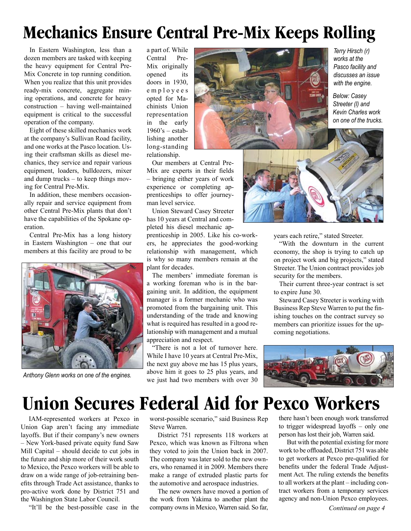### **Mechanics Ensure Central Pre-Mix Keeps Rolling**

In Eastern Washington, less than a dozen members are tasked with keeping the heavy equipment for Central Pre-Mix Concrete in top running condition. When you realize that this unit provides ready-mix concrete, aggregate mining operations, and concrete for heavy construction – having well-maintained equipment is critical to the successful operation of the company.

Eight of these skilled mechanics work at the company's Sullivan Road facility, and one works at the Pasco location. Using their craftsman skills as diesel mechanics, they service and repair various equipment, loaders, bulldozers, mixer and dump trucks – to keep things moving for Central Pre-Mix.

In addition, these members occasionally repair and service equipment from other Central Pre-Mix plants that don't have the capabilities of the Spokane operation.

Central Pre-Mix has a long history in Eastern Washington – one that our members at this facility are proud to be



*Anthony Glenn works on one of the engines.*

a part of. While Central Pre-Mix originally opened its doors in 1930, e m p l o y e e s opted for Machinists Union representation in the early  $1960$ 's – establishing another long-standing relationship.

Our members at Central Pre-Mix are experts in their fields – bringing either years of work experience or completing apprenticeships to offer journeyman level service.

Union Steward Casey Streeter has 10 years at Central and completed his diesel mechanic ap-

prenticeship in 2005. Like his co-workers, he appreciates the good-working relationship with management, which is why so many members remain at the plant for decades.

The members' immediate foreman is a working foreman who is in the bargaining unit. In addition, the equipment manager is a former mechanic who was promoted from the bargaining unit. This understanding of the trade and knowing what is required has resulted in a good relationship with management and a mutual appreciation and respect.

"There is not a lot of turnover here. While I have 10 years at Central Pre-Mix, the next guy above me has 15 plus years, above him it goes to 25 plus years, and we just had two members with over 30



*Terry Hirsch (r) works at the Pasco facility and discusses an issue with the engine.*

*Below: Casey Streeter (l) and Kevin Charles work on one of the trucks.*



years each retire," stated Streeter.

"With the downturn in the current economy, the shop is trying to catch up on project work and big projects," stated Streeter. The Union contract provides job security for the members.

Their current three-year contract is set to expire June 30.

Steward Casey Streeter is working with Business Rep Steve Warren to put the finishing touches on the contract survey so members can prioritize issues for the upcoming negotiations.



### **Union Secures Federal Aid for Pexco Workers**

IAM-represented workers at Pexco in Union Gap aren't facing any immediate layoffs. But if their company's new owners – New York-based private equity fund Saw Mill Capital – should decide to cut jobs in the future and ship more of their work south to Mexico, the Pexco workers will be able to draw on a wide range of job-retraining benefits through Trade Act assistance, thanks to pro-active work done by District 751 and the Washington State Labor Council.

"It'll be the best-possible case in the

worst-possible scenario," said Business Rep Steve Warren.

District 751 represents 118 workers at Pexco, which was known as Filtrona when they voted to join the Union back in 2007. The company was later sold to the new owners, who renamed it in 2009. Members there make a range of extruded plastic parts for the automotive and aerospace industries.

The new owners have moved a portion of the work from Yakima to another plant the company owns in Mexico, Warren said. So far,

there hasn't been enough work transferred to trigger widespread layoffs – only one person has lost their job, Warren said.

But with the potential existing for more work to be offloaded, District 751 was able to get workers at Pexco pre-qualified for benefits under the federal Trade Adjustment Act. The ruling extends the benefits to all workers at the plant – including contract workers from a temporary services agency and non-Union Pexco employees.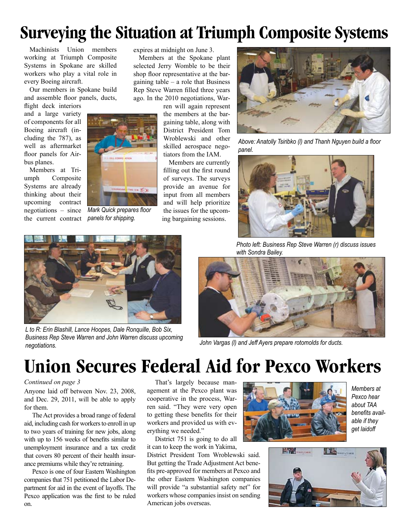### **Surveying the Situation at Triumph Composite Systems**

Machinists Union members working at Triumph Composite Systems in Spokane are skilled workers who play a vital role in every Boeing aircraft.

Our members in Spokane build and assemble floor panels, ducts,

flight deck interiors and a large variety of components for all Boeing aircraft (including the 787), as well as aftermarket floor panels for Airbus planes.

Members at Triumph Composite Systems are already thinking about their upcoming contract negotiations – since the current contract



*Mark Quick prepares floor panels for shipping.*

expires at midnight on June 3.

Members at the Spokane plant selected Jerry Womble to be their shop floor representative at the bargaining table  $-$  a role that Business Rep Steve Warren filled three years ago. In the 2010 negotiations, War-

ren will again represent the members at the bargaining table, along with District President Tom Wroblewski and other skilled aerospace negotiators from the IAM.

Members are currently filling out the first round of surveys. The surveys provide an avenue for input from all members and will help prioritize the issues for the upcoming bargaining sessions.



*Above: Anatolly Tsiribko (l) and Thanh Nguyen build a floor panel.*



*L to R: Erin Blashill, Lance Hoopes, Dale Ronquille, Bob Six, Business Rep Steve Warren and John Warren discuss upcoming negotiations.*

*Photo left: Business Rep Steve Warren (r) discuss issues with Sondra Bailey.*



*John Vargas (l) and Jeff Ayers prepare rotomolds for ducts.* 

### **Union Secures Federal Aid for Pexco Workers**

#### *Continued on page 3*

Anyone laid off between Nov. 23, 2008, and Dec. 29, 2011, will be able to apply for them.

The Act provides a broad range of federal aid, including cash for workers to enroll in up to two years of training for new jobs, along with up to 156 weeks of benefits similar to unemployment insurance and a tax credit that covers 80 percent of their health insurance premiums while they're retraining.

Pexco is one of four Eastern Washington companies that 751 petitioned the Labor Department for aid in the event of layoffs. The Pexco application was the first to be ruled on.

That's largely because management at the Pexco plant was cooperative in the process, Warren said. "They were very open to getting these benefits for their workers and provided us with everything we needed."

District 751 is going to do all it can to keep the work in Yakima,

District President Tom Wroblewski said. But getting the Trade Adjustment Act benefits pre-approved for members at Pexco and the other Eastern Washington companies will provide "a substantial safety net" for workers whose companies insist on sending American jobs overseas.



*Members at Pexco hear about TAA benefits available if they get laidoff*

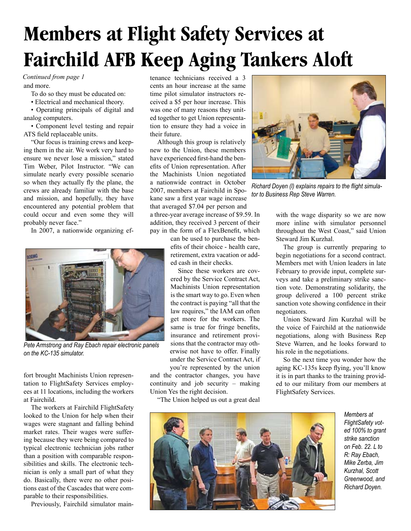## **Members at Flight Safety Services at Fairchild AFB Keep Aging Tankers Aloft**

#### *Continued from page 1*

and more.

To do so they must be educated on:

• Electrical and mechanical theory.

• Operating principals of digital and analog computers.

• Component level testing and repair ATS field replaceable units.

"Our focus is training crews and keeping them in the air. We work very hard to ensure we never lose a mission," stated Tim Weber, Pilot Instructor. "We can simulate nearly every possible scenario so when they actually fly the plane, the crews are already familiar with the base and mission, and hopefully, they have encountered any potential problem that could occur and even some they will probably never face."

In 2007, a nationwide organizing ef-



*Pete Armstrong and Ray Ebach repair electronic panels on the KC-135 simulator.*

fort brought Machinists Union representation to FlightSafety Services employees at 11 locations, including the workers at Fairchild.

The workers at Fairchild FlightSafety looked to the Union for help when their wages were stagnant and falling behind market rates. Their wages were suffering because they were being compared to typical electronic technician jobs rather than a position with comparable responsibilities and skills. The electronic technician is only a small part of what they do. Basically, there were no other positions east of the Cascades that were comparable to their responsibilities.

Previously, Fairchild simulator main-

tenance technicians received a 3 cents an hour increase at the same time pilot simulator instructors received a \$5 per hour increase. This was one of many reasons they united together to get Union representation to ensure they had a voice in their future.

Although this group is relatively new to the Union, these members have experienced first-hand the benefits of Union representation. After the Machinists Union negotiated a nationwide contract in October 2007, members at Fairchild in Spokane saw a first year wage increase that averaged \$7.04 per person and a three-year average increase of \$9.59. In

addition, they received 3 percent of their pay in the form of a FlexBenefit, which

can be used to purchase the benefits of their choice - health care, retirement, extra vacation or added cash in their checks.

Since these workers are covered by the Service Contract Act, Machinists Union representation is the smart way to go. Even when the contract is paying "all that the law requires," the IAM can often get more for the workers. The same is true for fringe benefits, insurance and retirement provisions that the contractor may otherwise not have to offer. Finally under the Service Contract Act, if

you're represented by the union and the contractor changes, you have continuity and job security – making Union Yes the right decision.

"The Union helped us out a great deal



*Richard Doyen (l) explains repairs to the flight simulator to Business Rep Steve Warren.*

with the wage disparity so we are now more inline with simulator personnel throughout the West Coast," said Union Steward Jim Kurzhal.

The group is currently preparing to begin negotiations for a second contract. Members met with Union leaders in late February to provide input, complete surveys and take a preliminary strike sanction vote. Demonstrating solidarity, the group delivered a 100 percent strike sanction vote showing confidence in their negotiators.

Union Steward Jim Kurzhal will be the voice of Fairchild at the nationwide negotiations, along with Business Rep Steve Warren, and he looks forward to his role in the negotiations.

So the next time you wonder how the aging KC-135s keep flying, you'll know it is in part thanks to the training provided to our military from our members at FlightSafety Services.



*Members at FlightSafety voted 100% to grant strike sanction on Feb. 22. L to R: Ray Ebach, Mike Zerba, Jim Kurzhal, Scott Greenwood, and Richard Doyen.*